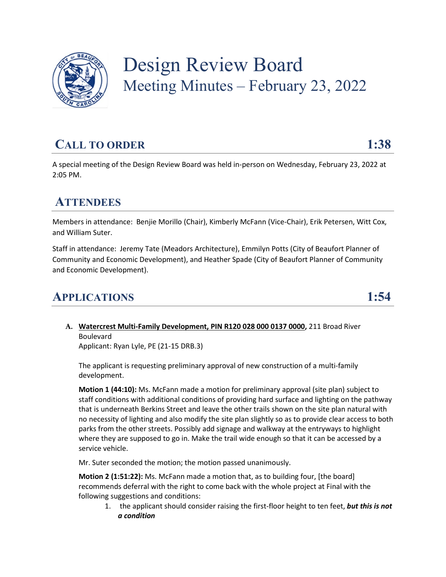

# Design Review Board Meeting Minutes – February 23, 2022

## **CALL TO ORDER 1:38**

A special meeting of the Design Review Board was held in-person on Wednesday, February 23, 2022 at 2:05 PM.

#### **ATTENDEES**

Members in attendance: Benjie Morillo (Chair), Kimberly McFann (Vice-Chair), Erik Petersen, Witt Cox, and William Suter.

Staff in attendance: Jeremy Tate (Meadors Architecture), Emmilyn Potts (City of Beaufort Planner of Community and Economic Development), and Heather Spade (City of Beaufort Planner of Community and Economic Development).

#### **APPLICATIONS 1:54**

**A. Watercrest Multi-Family Development, PIN R120 028 000 0137 0000,** 211 Broad River Boulevard Applicant: Ryan Lyle, PE (21-15 DRB.3)

The applicant is requesting preliminary approval of new construction of a multi-family development.

**Motion 1 (44:10):** Ms. McFann made a motion for preliminary approval (site plan) subject to staff conditions with additional conditions of providing hard surface and lighting on the pathway that is underneath Berkins Street and leave the other trails shown on the site plan natural with no necessity of lighting and also modify the site plan slightly so as to provide clear access to both parks from the other streets. Possibly add signage and walkway at the entryways to highlight where they are supposed to go in. Make the trail wide enough so that it can be accessed by a service vehicle.

Mr. Suter seconded the motion; the motion passed unanimously.

**Motion 2 (1:51:22):** Ms. McFann made a motion that, as to building four, [the board] recommends deferral with the right to come back with the whole project at Final with the following suggestions and conditions:

1. the applicant should consider raising the first-floor height to ten feet, *but this is not a condition*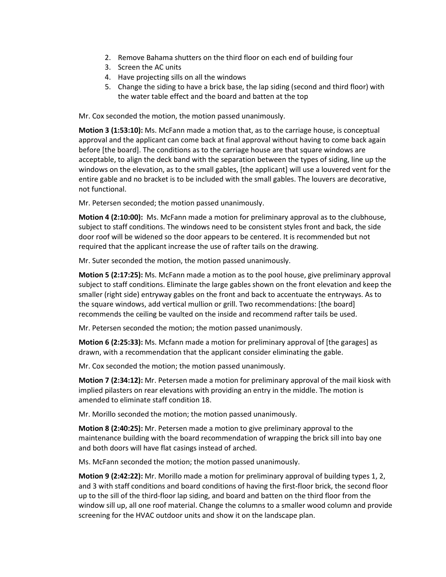- 2. Remove Bahama shutters on the third floor on each end of building four
- 3. Screen the AC units
- 4. Have projecting sills on all the windows
- 5. Change the siding to have a brick base, the lap siding (second and third floor) with the water table effect and the board and batten at the top

Mr. Cox seconded the motion, the motion passed unanimously.

**Motion 3 (1:53:10):** Ms. McFann made a motion that, as to the carriage house, is conceptual approval and the applicant can come back at final approval without having to come back again before [the board]. The conditions as to the carriage house are that square windows are acceptable, to align the deck band with the separation between the types of siding, line up the windows on the elevation, as to the small gables, [the applicant] will use a louvered vent for the entire gable and no bracket is to be included with the small gables. The louvers are decorative, not functional.

Mr. Petersen seconded; the motion passed unanimously.

**Motion 4 (2:10:00):** Ms. McFann made a motion for preliminary approval as to the clubhouse, subject to staff conditions. The windows need to be consistent styles front and back, the side door roof will be widened so the door appears to be centered. It is recommended but not required that the applicant increase the use of rafter tails on the drawing.

Mr. Suter seconded the motion, the motion passed unanimously.

**Motion 5 (2:17:25):** Ms. McFann made a motion as to the pool house, give preliminary approval subject to staff conditions. Eliminate the large gables shown on the front elevation and keep the smaller (right side) entryway gables on the front and back to accentuate the entryways. As to the square windows, add vertical mullion or grill. Two recommendations: [the board] recommends the ceiling be vaulted on the inside and recommend rafter tails be used.

Mr. Petersen seconded the motion; the motion passed unanimously.

**Motion 6 (2:25:33):** Ms. Mcfann made a motion for preliminary approval of [the garages] as drawn, with a recommendation that the applicant consider eliminating the gable.

Mr. Cox seconded the motion; the motion passed unanimously.

**Motion 7 (2:34:12):** Mr. Petersen made a motion for preliminary approval of the mail kiosk with implied pilasters on rear elevations with providing an entry in the middle. The motion is amended to eliminate staff condition 18.

Mr. Morillo seconded the motion; the motion passed unanimously.

**Motion 8 (2:40:25):** Mr. Petersen made a motion to give preliminary approval to the maintenance building with the board recommendation of wrapping the brick sill into bay one and both doors will have flat casings instead of arched.

Ms. McFann seconded the motion; the motion passed unanimously.

**Motion 9 (2:42:22):** Mr. Morillo made a motion for preliminary approval of building types 1, 2, and 3 with staff conditions and board conditions of having the first-floor brick, the second floor up to the sill of the third-floor lap siding, and board and batten on the third floor from the window sill up, all one roof material. Change the columns to a smaller wood column and provide screening for the HVAC outdoor units and show it on the landscape plan.